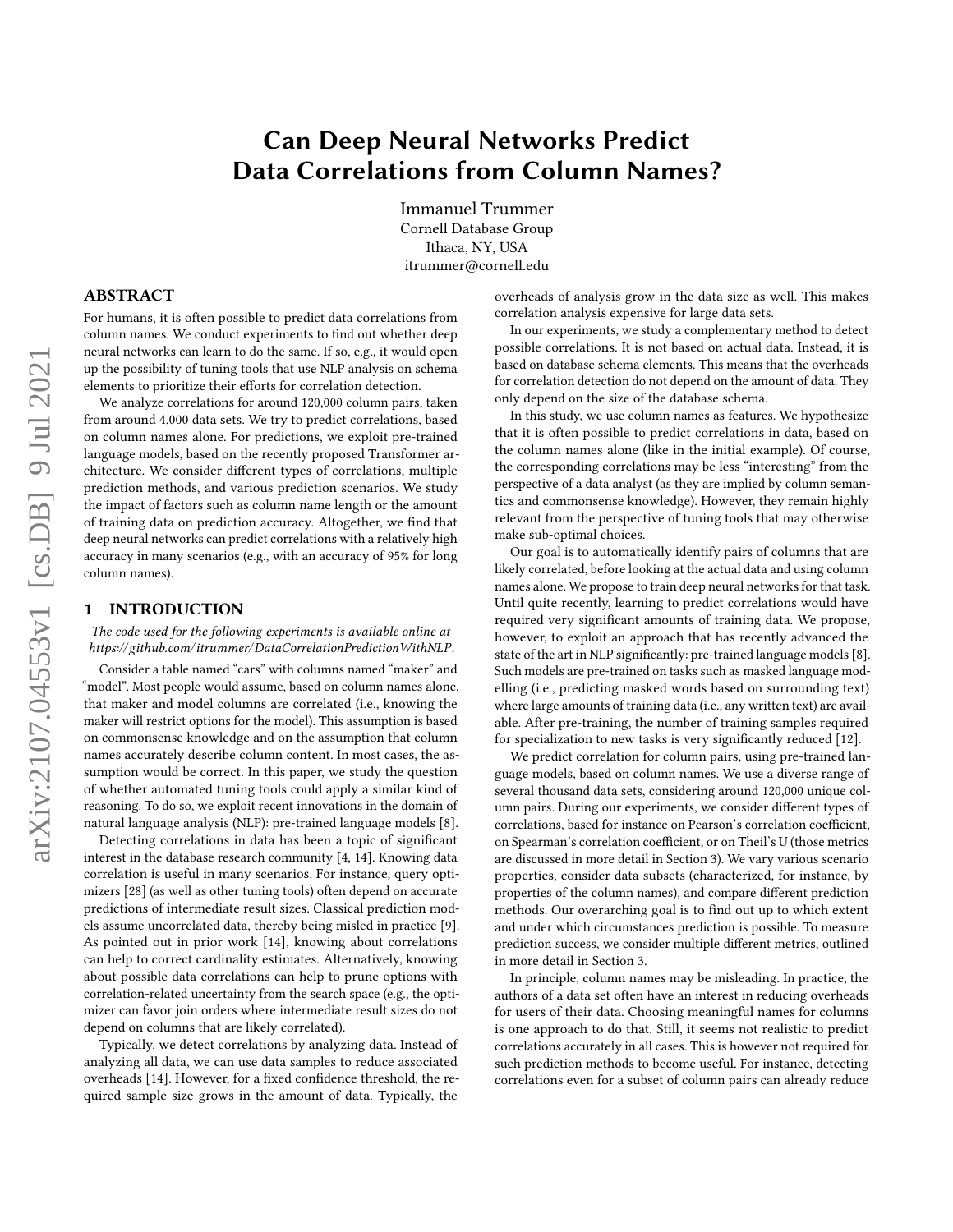# arXiv:2107.04553v1 [cs.DB] 9 Jul 2021 arXiv:2107.04553v1 [cs.DB] 9 Jul 2021

# Can Deep Neural Networks Predict Data Correlations from Column Names?

Immanuel Trummer Cornell Database Group Ithaca, NY, USA itrummer@cornell.edu

#### ABSTRACT

For humans, it is often possible to predict data correlations from column names. We conduct experiments to find out whether deep neural networks can learn to do the same. If so, e.g., it would open up the possibility of tuning tools that use NLP analysis on schema elements to prioritize their efforts for correlation detection.

We analyze correlations for around 120,000 column pairs, taken from around 4,000 data sets. We try to predict correlations, based on column names alone. For predictions, we exploit pre-trained language models, based on the recently proposed Transformer architecture. We consider different types of correlations, multiple prediction methods, and various prediction scenarios. We study the impact of factors such as column name length or the amount of training data on prediction accuracy. Altogether, we find that deep neural networks can predict correlations with a relatively high accuracy in many scenarios (e.g., with an accuracy of 95% for long column names).

# 1 INTRODUCTION

The code used for the following experiments is available online at [https://github.com/itrummer/DataCorrelationPredictionWithNLP.](https://github.com/itrummer/DataCorrelationPredictionWithNLP)

Consider a table named "cars" with columns named "maker" and "model". Most people would assume, based on column names alone, that maker and model columns are correlated (i.e., knowing the maker will restrict options for the model). This assumption is based on commonsense knowledge and on the assumption that column names accurately describe column content. In most cases, the assumption would be correct. In this paper, we study the question of whether automated tuning tools could apply a similar kind of reasoning. To do so, we exploit recent innovations in the domain of natural language analysis (NLP): pre-trained language models [\[8\]](#page-11-0).

Detecting correlations in data has been a topic of significant interest in the database research community [\[4,](#page-11-1) [14\]](#page-12-0). Knowing data correlation is useful in many scenarios. For instance, query optimizers [\[28\]](#page-12-1) (as well as other tuning tools) often depend on accurate predictions of intermediate result sizes. Classical prediction models assume uncorrelated data, thereby being misled in practice [\[9\]](#page-11-2). As pointed out in prior work [\[14\]](#page-12-0), knowing about correlations can help to correct cardinality estimates. Alternatively, knowing about possible data correlations can help to prune options with correlation-related uncertainty from the search space (e.g., the optimizer can favor join orders where intermediate result sizes do not depend on columns that are likely correlated).

Typically, we detect correlations by analyzing data. Instead of analyzing all data, we can use data samples to reduce associated overheads [\[14\]](#page-12-0). However, for a fixed confidence threshold, the required sample size grows in the amount of data. Typically, the

overheads of analysis grow in the data size as well. This makes correlation analysis expensive for large data sets.

In our experiments, we study a complementary method to detect possible correlations. It is not based on actual data. Instead, it is based on database schema elements. This means that the overheads for correlation detection do not depend on the amount of data. They only depend on the size of the database schema.

In this study, we use column names as features. We hypothesize that it is often possible to predict correlations in data, based on the column names alone (like in the initial example). Of course, the corresponding correlations may be less "interesting" from the perspective of a data analyst (as they are implied by column semantics and commonsense knowledge). However, they remain highly relevant from the perspective of tuning tools that may otherwise make sub-optimal choices.

Our goal is to automatically identify pairs of columns that are likely correlated, before looking at the actual data and using column names alone. We propose to train deep neural networks for that task. Until quite recently, learning to predict correlations would have required very significant amounts of training data. We propose, however, to exploit an approach that has recently advanced the state of the art in NLP significantly: pre-trained language models [\[8\]](#page-11-0). Such models are pre-trained on tasks such as masked language modelling (i.e., predicting masked words based on surrounding text) where large amounts of training data (i.e., any written text) are available. After pre-training, the number of training samples required for specialization to new tasks is very significantly reduced [\[12\]](#page-11-3).

We predict correlation for column pairs, using pre-trained language models, based on column names. We use a diverse range of several thousand data sets, considering around 120,000 unique column pairs. During our experiments, we consider different types of correlations, based for instance on Pearson's correlation coefficient, on Spearman's correlation coefficient, or on Theil's U (those metrics are discussed in more detail in Section [3\)](#page-2-0). We vary various scenario properties, consider data subsets (characterized, for instance, by properties of the column names), and compare different prediction methods. Our overarching goal is to find out up to which extent and under which circumstances prediction is possible. To measure prediction success, we consider multiple different metrics, outlined in more detail in Section [3.](#page-2-0)

In principle, column names may be misleading. In practice, the authors of a data set often have an interest in reducing overheads for users of their data. Choosing meaningful names for columns is one approach to do that. Still, it seems not realistic to predict correlations accurately in all cases. This is however not required for such prediction methods to become useful. For instance, detecting correlations even for a subset of column pairs can already reduce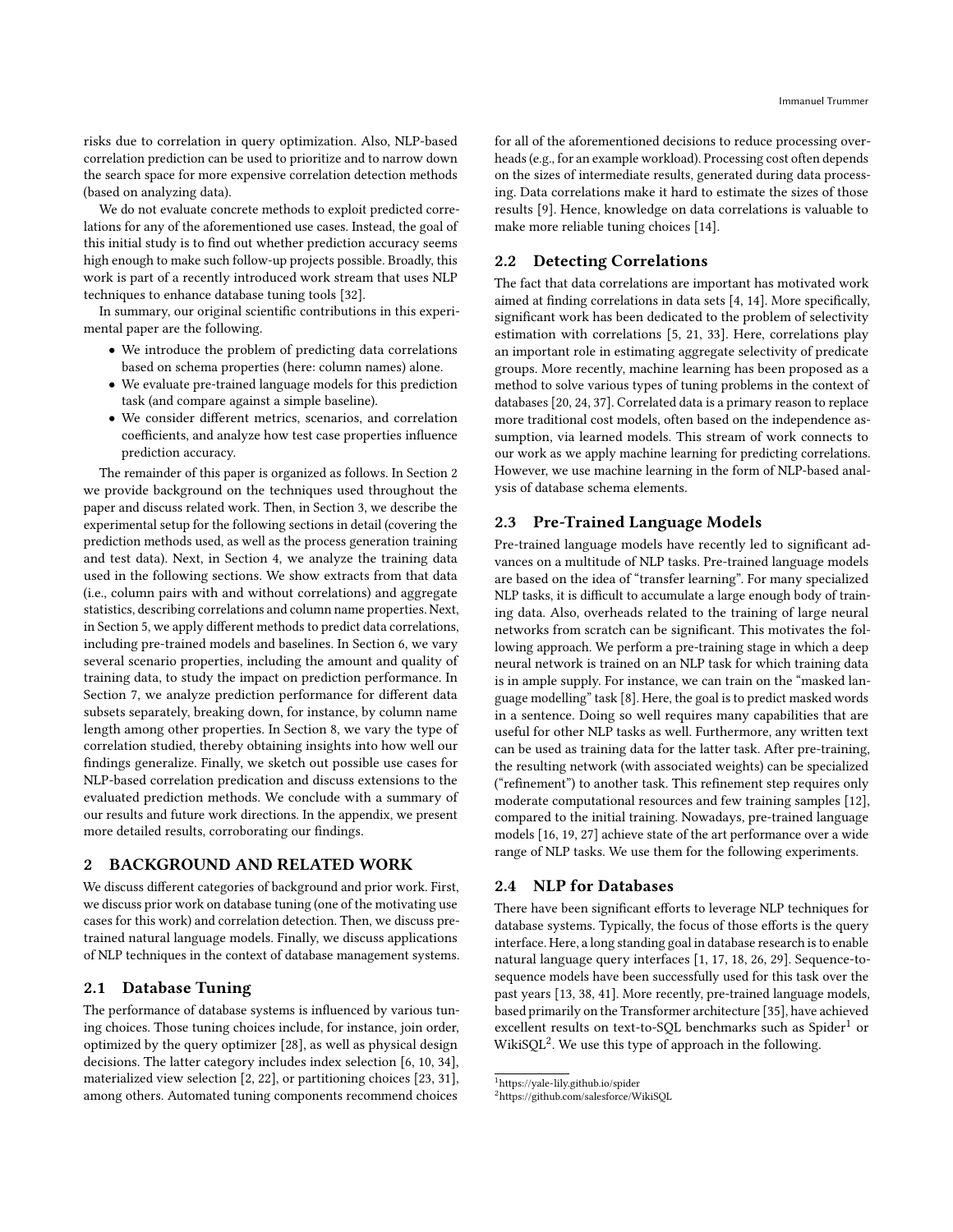risks due to correlation in query optimization. Also, NLP-based correlation prediction can be used to prioritize and to narrow down the search space for more expensive correlation detection methods (based on analyzing data).

We do not evaluate concrete methods to exploit predicted correlations for any of the aforementioned use cases. Instead, the goal of this initial study is to find out whether prediction accuracy seems high enough to make such follow-up projects possible. Broadly, this work is part of a recently introduced work stream that uses NLP techniques to enhance database tuning tools [\[32\]](#page-12-2).

In summary, our original scientific contributions in this experimental paper are the following.

- We introduce the problem of predicting data correlations based on schema properties (here: column names) alone.
- We evaluate pre-trained language models for this prediction task (and compare against a simple baseline).
- We consider different metrics, scenarios, and correlation coefficients, and analyze how test case properties influence prediction accuracy.

The remainder of this paper is organized as follows. In Section [2](#page-1-0) we provide background on the techniques used throughout the paper and discuss related work. Then, in Section [3,](#page-2-0) we describe the experimental setup for the following sections in detail (covering the prediction methods used, as well as the process generation training and test data). Next, in Section [4,](#page-2-1) we analyze the training data used in the following sections. We show extracts from that data (i.e., column pairs with and without correlations) and aggregate statistics, describing correlations and column name properties. Next, in Section [5,](#page-4-0) we apply different methods to predict data correlations, including pre-trained models and baselines. In Section [6,](#page-5-0) we vary several scenario properties, including the amount and quality of training data, to study the impact on prediction performance. In Section [7,](#page-6-0) we analyze prediction performance for different data subsets separately, breaking down, for instance, by column name length among other properties. In Section [8,](#page-6-1) we vary the type of correlation studied, thereby obtaining insights into how well our findings generalize. Finally, we sketch out possible use cases for NLP-based correlation predication and discuss extensions to the evaluated prediction methods. We conclude with a summary of our results and future work directions. In the appendix, we present more detailed results, corroborating our findings.

# <span id="page-1-0"></span>2 BACKGROUND AND RELATED WORK

We discuss different categories of background and prior work. First, we discuss prior work on database tuning (one of the motivating use cases for this work) and correlation detection. Then, we discuss pretrained natural language models. Finally, we discuss applications of NLP techniques in the context of database management systems.

#### 2.1 Database Tuning

The performance of database systems is influenced by various tuning choices. Those tuning choices include, for instance, join order, optimized by the query optimizer [\[28\]](#page-12-1), as well as physical design decisions. The latter category includes index selection [\[6,](#page-11-4) [10,](#page-11-5) [34\]](#page-12-3), materialized view selection [\[2,](#page-11-6) [22\]](#page-12-4), or partitioning choices [\[23,](#page-12-5) [31\]](#page-12-6), among others. Automated tuning components recommend choices

for all of the aforementioned decisions to reduce processing overheads (e.g., for an example workload). Processing cost often depends on the sizes of intermediate results, generated during data processing. Data correlations make it hard to estimate the sizes of those results [\[9\]](#page-11-2). Hence, knowledge on data correlations is valuable to make more reliable tuning choices [\[14\]](#page-12-0).

# 2.2 Detecting Correlations

The fact that data correlations are important has motivated work aimed at finding correlations in data sets [\[4,](#page-11-1) [14\]](#page-12-0). More specifically, significant work has been dedicated to the problem of selectivity estimation with correlations [\[5,](#page-11-7) [21,](#page-12-7) [33\]](#page-12-8). Here, correlations play an important role in estimating aggregate selectivity of predicate groups. More recently, machine learning has been proposed as a method to solve various types of tuning problems in the context of databases [\[20,](#page-12-9) [24,](#page-12-10) [37\]](#page-12-11). Correlated data is a primary reason to replace more traditional cost models, often based on the independence assumption, via learned models. This stream of work connects to our work as we apply machine learning for predicting correlations. However, we use machine learning in the form of NLP-based analysis of database schema elements.

# 2.3 Pre-Trained Language Models

Pre-trained language models have recently led to significant advances on a multitude of NLP tasks. Pre-trained language models are based on the idea of "transfer learning". For many specialized NLP tasks, it is difficult to accumulate a large enough body of training data. Also, overheads related to the training of large neural networks from scratch can be significant. This motivates the following approach. We perform a pre-training stage in which a deep neural network is trained on an NLP task for which training data is in ample supply. For instance, we can train on the "masked language modelling" task [\[8\]](#page-11-0). Here, the goal is to predict masked words in a sentence. Doing so well requires many capabilities that are useful for other NLP tasks as well. Furthermore, any written text can be used as training data for the latter task. After pre-training, the resulting network (with associated weights) can be specialized ("refinement") to another task. This refinement step requires only moderate computational resources and few training samples [\[12\]](#page-11-3), compared to the initial training. Nowadays, pre-trained language models [\[16,](#page-12-12) [19,](#page-12-13) [27\]](#page-12-14) achieve state of the art performance over a wide range of NLP tasks. We use them for the following experiments.

#### 2.4 NLP for Databases

There have been significant efforts to leverage NLP techniques for database systems. Typically, the focus of those efforts is the query interface. Here, a long standing goal in database research is to enable natural language query interfaces [\[1,](#page-11-8) [17,](#page-12-15) [18,](#page-12-16) [26,](#page-12-17) [29\]](#page-12-18). Sequence-tosequence models have been successfully used for this task over the past years [\[13,](#page-11-9) [38,](#page-12-19) [41\]](#page-12-20). More recently, pre-trained language models, based primarily on the Transformer architecture [\[35\]](#page-12-21), have achieved excellent results on text-to-SQL benchmarks such as Spider<sup>[1](#page-1-1)</sup> or WikiSQL[2](#page-1-2) . We use this type of approach in the following.

<span id="page-1-1"></span> $^{\rm 1}$ <https://yale-lily.github.io/spider>

<span id="page-1-2"></span><sup>2</sup><https://github.com/salesforce/WikiSQL>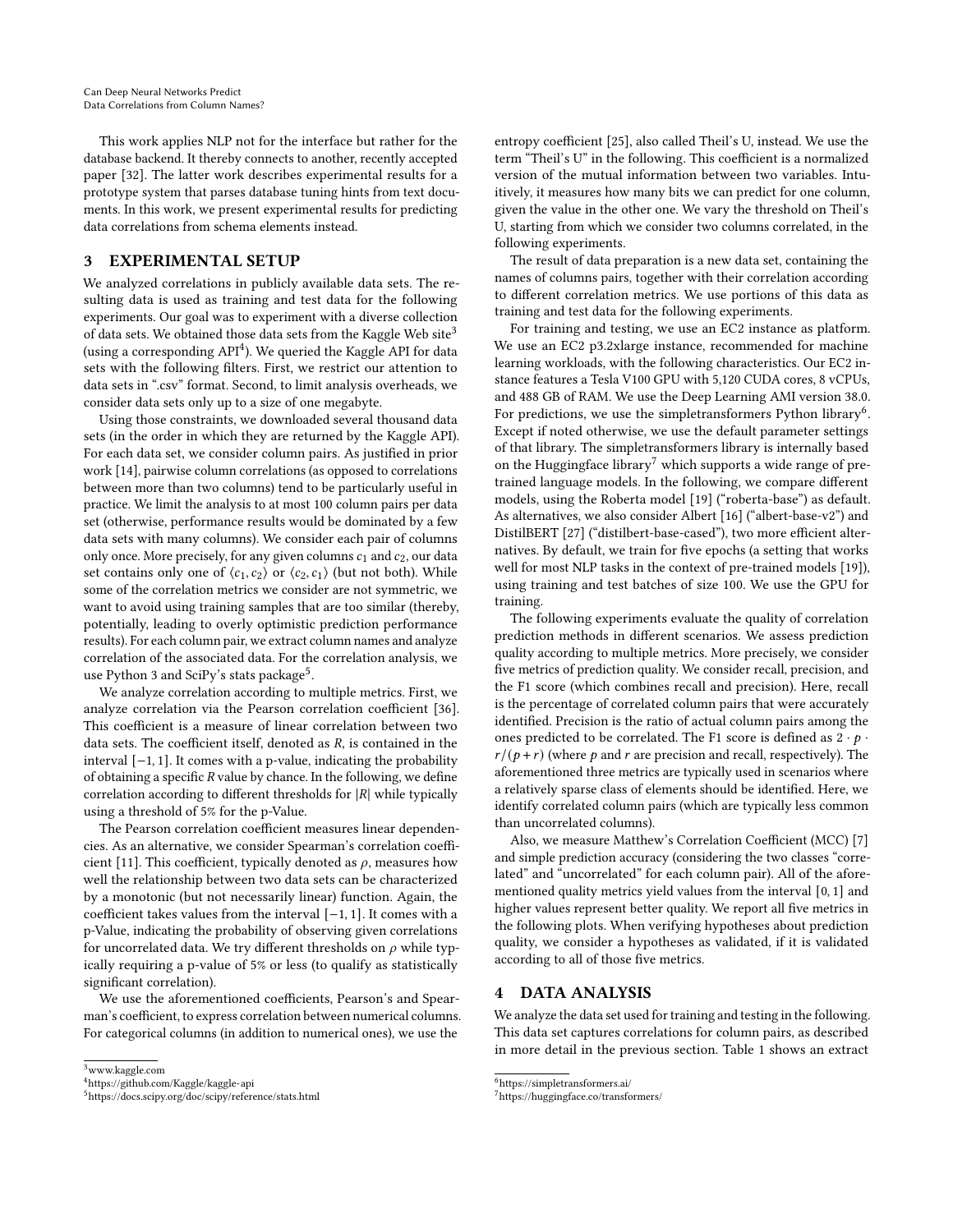This work applies NLP not for the interface but rather for the database backend. It thereby connects to another, recently accepted paper [\[32\]](#page-12-2). The latter work describes experimental results for a prototype system that parses database tuning hints from text documents. In this work, we present experimental results for predicting data correlations from schema elements instead.

# <span id="page-2-0"></span>3 EXPERIMENTAL SETUP

We analyzed correlations in publicly available data sets. The resulting data is used as training and test data for the following experiments. Our goal was to experiment with a diverse collection of data sets. We obtained those data sets from the Kaggle Web site<sup>[3](#page-2-2)</sup> (using a corresponding  $API<sup>4</sup>$  $API<sup>4</sup>$  $API<sup>4</sup>$ ). We queried the Kaggle API for data sets with the following filters. First, we restrict our attention to data sets in ".csv" format. Second, to limit analysis overheads, we consider data sets only up to a size of one megabyte.

Using those constraints, we downloaded several thousand data sets (in the order in which they are returned by the Kaggle API). For each data set, we consider column pairs. As justified in prior work [\[14\]](#page-12-0), pairwise column correlations (as opposed to correlations between more than two columns) tend to be particularly useful in practice. We limit the analysis to at most 100 column pairs per data set (otherwise, performance results would be dominated by a few data sets with many columns). We consider each pair of columns only once. More precisely, for any given columns  $c_1$  and  $c_2$ , our data set contains only one of  $\langle c_1, c_2 \rangle$  or  $\langle c_2, c_1 \rangle$  (but not both). While some of the correlation metrics we consider are not symmetric, we want to avoid using training samples that are too similar (thereby, potentially, leading to overly optimistic prediction performance results). For each column pair, we extract column names and analyze correlation of the associated data. For the correlation analysis, we use Python 3 and SciPy's stats package $^5$  $^5$ .

We analyze correlation according to multiple metrics. First, we analyze correlation via the Pearson correlation coefficient [\[36\]](#page-12-22). This coefficient is a measure of linear correlation between two data sets. The coefficient itself, denoted as  $R$ , is contained in the interval [−1, 1]. It comes with a p-value, indicating the probability of obtaining a specific  $R$  value by chance. In the following, we define correlation according to different thresholds for  $|R|$  while typically using a threshold of 5% for the p-Value.

The Pearson correlation coefficient measures linear dependencies. As an alternative, we consider Spearman's correlation coeffi-cient [\[11\]](#page-11-10). This coefficient, typically denoted as  $\rho$ , measures how well the relationship between two data sets can be characterized by a monotonic (but not necessarily linear) function. Again, the coefficient takes values from the interval [−1, 1]. It comes with a p-Value, indicating the probability of observing given correlations for uncorrelated data. We try different thresholds on  $\rho$  while typically requiring a p-value of 5% or less (to qualify as statistically significant correlation).

We use the aforementioned coefficients, Pearson's and Spearman's coefficient, to express correlation between numerical columns. For categorical columns (in addition to numerical ones), we use the

entropy coefficient [\[25\]](#page-12-23), also called Theil's U, instead. We use the term "Theil's U" in the following. This coefficient is a normalized version of the mutual information between two variables. Intuitively, it measures how many bits we can predict for one column, given the value in the other one. We vary the threshold on Theil's U, starting from which we consider two columns correlated, in the following experiments.

The result of data preparation is a new data set, containing the names of columns pairs, together with their correlation according to different correlation metrics. We use portions of this data as training and test data for the following experiments.

For training and testing, we use an EC2 instance as platform. We use an EC2 p3.2xlarge instance, recommended for machine learning workloads, with the following characteristics. Our EC2 instance features a Tesla V100 GPU with 5,120 CUDA cores, 8 vCPUs, and 488 GB of RAM. We use the Deep Learning AMI version 38.0. For predictions, we use the simpletransformers Python library<sup>[6](#page-2-5)</sup>. Except if noted otherwise, we use the default parameter settings of that library. The simpletransformers library is internally based on the Huggingface library<sup>[7](#page-2-6)</sup> which supports a wide range of pretrained language models. In the following, we compare different models, using the Roberta model [\[19\]](#page-12-13) ("roberta-base") as default. As alternatives, we also consider Albert [\[16\]](#page-12-12) ("albert-base-v2") and DistilBERT [\[27\]](#page-12-14) ("distilbert-base-cased"), two more efficient alternatives. By default, we train for five epochs (a setting that works well for most NLP tasks in the context of pre-trained models [\[19\]](#page-12-13)), using training and test batches of size 100. We use the GPU for training.

The following experiments evaluate the quality of correlation prediction methods in different scenarios. We assess prediction quality according to multiple metrics. More precisely, we consider five metrics of prediction quality. We consider recall, precision, and the F1 score (which combines recall and precision). Here, recall is the percentage of correlated column pairs that were accurately identified. Precision is the ratio of actual column pairs among the ones predicted to be correlated. The F1 score is defined as  $2 \cdot p \cdot$  $r/(\rho + r)$  (where  $\rho$  and  $r$  are precision and recall, respectively). The aforementioned three metrics are typically used in scenarios where a relatively sparse class of elements should be identified. Here, we identify correlated column pairs (which are typically less common than uncorrelated columns).

Also, we measure Matthew's Correlation Coefficient (MCC) [\[7\]](#page-11-11) and simple prediction accuracy (considering the two classes "correlated" and "uncorrelated" for each column pair). All of the aforementioned quality metrics yield values from the interval [0, 1] and higher values represent better quality. We report all five metrics in the following plots. When verifying hypotheses about prediction quality, we consider a hypotheses as validated, if it is validated according to all of those five metrics.

## <span id="page-2-1"></span>DATA ANALYSIS

We analyze the data set used for training and testing in the following. This data set captures correlations for column pairs, as described in more detail in the previous section. Table [1](#page-3-0) shows an extract

<span id="page-2-2"></span><sup>3</sup><www.kaggle.com>

<span id="page-2-3"></span><sup>4</sup><https://github.com/Kaggle/kaggle-api>

<span id="page-2-4"></span><sup>5</sup><https://docs.scipy.org/doc/scipy/reference/stats.html>

<span id="page-2-5"></span><sup>6</sup><https://simpletransformers.ai/>

<span id="page-2-6"></span><sup>7</sup><https://huggingface.co/transformers/>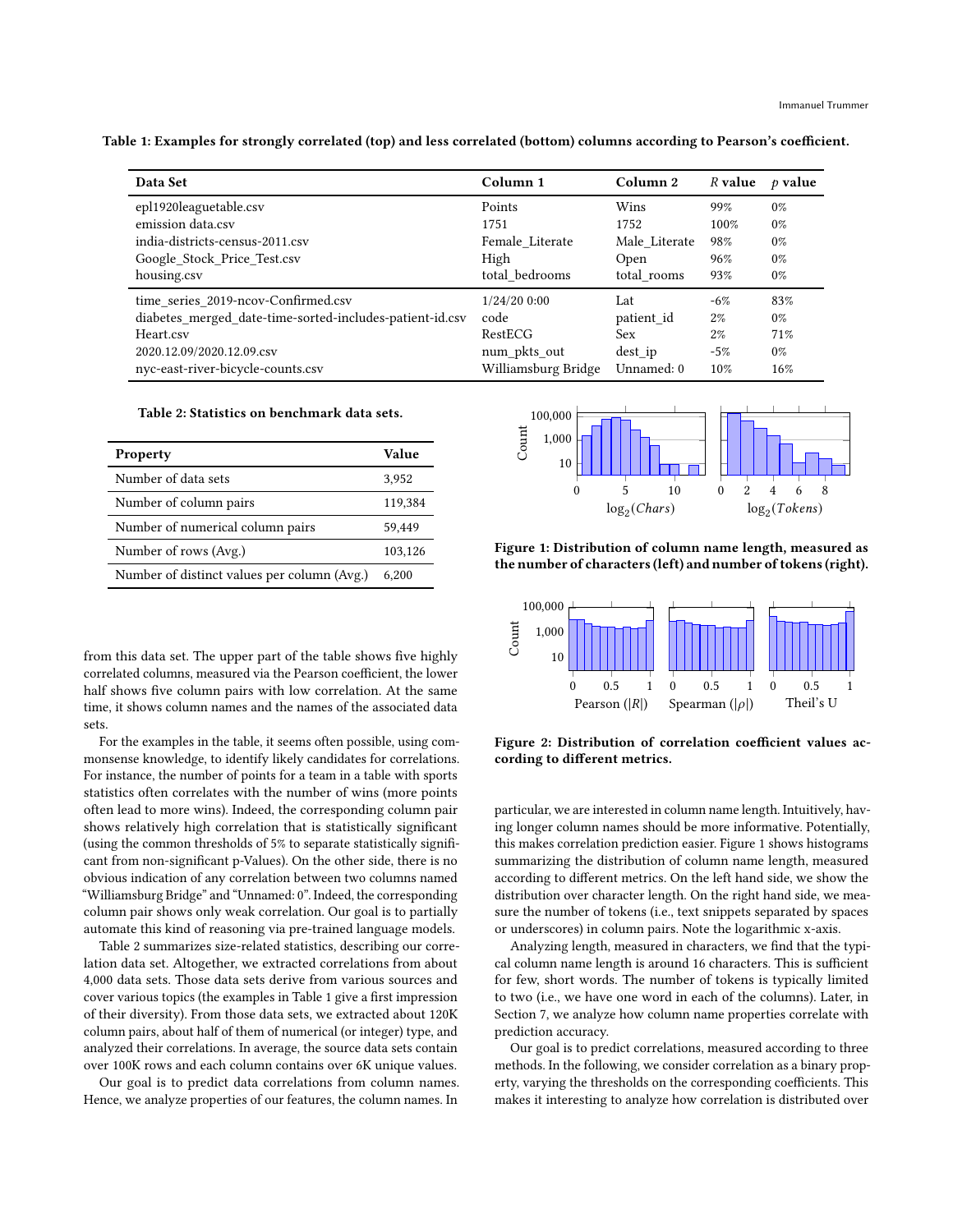<span id="page-3-0"></span>Table 1: Examples for strongly correlated (top) and less correlated (bottom) columns according to Pearson's coefficient.

| Data Set                                                 | Column 1            | Column 2      | R value | $\rho$ value |
|----------------------------------------------------------|---------------------|---------------|---------|--------------|
| epl1920leaguetable.csv                                   | Points              | Wins          | 99%     | $0\%$        |
| emission data.csv                                        | 1751                | 1752          | 100%    | $0\%$        |
| india-districts-census-2011.csv                          | Female Literate     | Male Literate | 98%     | $0\%$        |
| Google Stock Price Test.csv                              | High                | Open          | 96%     | $0\%$        |
| housing.csv                                              | total bedrooms      | total rooms   | 93%     | $0\%$        |
| time series 2019-ncov-Confirmed.csv                      | $1/24/20$ 0:00      | Lat           | $-6%$   | 83%          |
| diabetes_merged_date-time-sorted-includes-patient-id.csv | code                | patient id    | $2\%$   | $0\%$        |
| Heart.csv                                                | RestECG             | Sex           | $2\%$   | 71%          |
| 2020.12.09/2020.12.09.csv                                | num_pkts_out        | $dest$ ip     | $-5%$   | $0\%$        |
| nyc-east-river-bicycle-counts.csv                        | Williamsburg Bridge | Unnamed: 0    | 10%     | 16%          |

#### Table 2: Statistics on benchmark data sets.

<span id="page-3-1"></span>

| Property                                    | Value   |
|---------------------------------------------|---------|
| Number of data sets                         | 3,952   |
| Number of column pairs                      | 119,384 |
| Number of numerical column pairs            | 59.449  |
| Number of rows (Avg.)                       | 103,126 |
| Number of distinct values per column (Avg.) | 6.200   |

from this data set. The upper part of the table shows five highly correlated columns, measured via the Pearson coefficient, the lower half shows five column pairs with low correlation. At the same time, it shows column names and the names of the associated data sets.

For the examples in the table, it seems often possible, using commonsense knowledge, to identify likely candidates for correlations. For instance, the number of points for a team in a table with sports statistics often correlates with the number of wins (more points often lead to more wins). Indeed, the corresponding column pair shows relatively high correlation that is statistically significant (using the common thresholds of 5% to separate statistically significant from non-significant p-Values). On the other side, there is no obvious indication of any correlation between two columns named "Williamsburg Bridge" and "Unnamed: 0". Indeed, the corresponding column pair shows only weak correlation. Our goal is to partially automate this kind of reasoning via pre-trained language models.

Table [2](#page-3-1) summarizes size-related statistics, describing our correlation data set. Altogether, we extracted correlations from about 4,000 data sets. Those data sets derive from various sources and cover various topics (the examples in Table [1](#page-3-0) give a first impression of their diversity). From those data sets, we extracted about 120K column pairs, about half of them of numerical (or integer) type, and analyzed their correlations. In average, the source data sets contain over 100K rows and each column contains over 6K unique values.

Our goal is to predict data correlations from column names. Hence, we analyze properties of our features, the column names. In

<span id="page-3-2"></span>

Figure 1: Distribution of column name length, measured as the number of characters (left) and number of tokens (right).

<span id="page-3-3"></span>

Figure 2: Distribution of correlation coefficient values according to different metrics.

particular, we are interested in column name length. Intuitively, having longer column names should be more informative. Potentially, this makes correlation prediction easier. Figure [1](#page-3-2) shows histograms summarizing the distribution of column name length, measured according to different metrics. On the left hand side, we show the distribution over character length. On the right hand side, we measure the number of tokens (i.e., text snippets separated by spaces or underscores) in column pairs. Note the logarithmic x-axis.

Analyzing length, measured in characters, we find that the typical column name length is around 16 characters. This is sufficient for few, short words. The number of tokens is typically limited to two (i.e., we have one word in each of the columns). Later, in Section [7,](#page-6-0) we analyze how column name properties correlate with prediction accuracy.

Our goal is to predict correlations, measured according to three methods. In the following, we consider correlation as a binary property, varying the thresholds on the corresponding coefficients. This makes it interesting to analyze how correlation is distributed over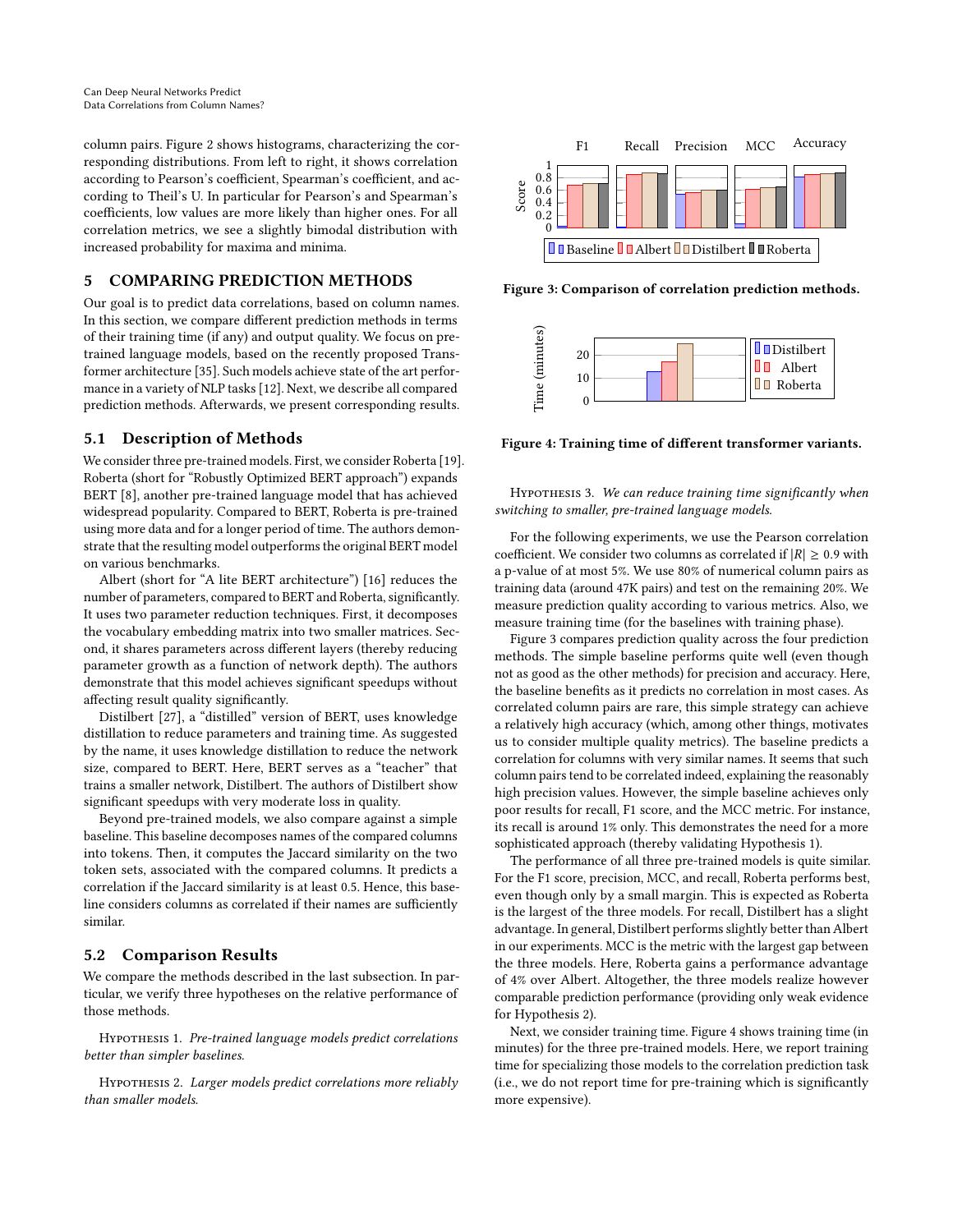column pairs. Figure [2](#page-3-3) shows histograms, characterizing the corresponding distributions. From left to right, it shows correlation according to Pearson's coefficient, Spearman's coefficient, and according to Theil's U. In particular for Pearson's and Spearman's coefficients, low values are more likely than higher ones. For all correlation metrics, we see a slightly bimodal distribution with increased probability for maxima and minima.

# <span id="page-4-0"></span>5 COMPARING PREDICTION METHODS

Our goal is to predict data correlations, based on column names. In this section, we compare different prediction methods in terms of their training time (if any) and output quality. We focus on pretrained language models, based on the recently proposed Transformer architecture [\[35\]](#page-12-21). Such models achieve state of the art performance in a variety of NLP tasks [\[12\]](#page-11-3). Next, we describe all compared prediction methods. Afterwards, we present corresponding results.

# 5.1 Description of Methods

We consider three pre-trained models. First, we consider Roberta [\[19\]](#page-12-13). Roberta (short for "Robustly Optimized BERT approach") expands BERT [\[8\]](#page-11-0), another pre-trained language model that has achieved widespread popularity. Compared to BERT, Roberta is pre-trained using more data and for a longer period of time. The authors demonstrate that the resulting model outperforms the original BERT model on various benchmarks.

Albert (short for "A lite BERT architecture") [\[16\]](#page-12-12) reduces the number of parameters, compared to BERT and Roberta, significantly. It uses two parameter reduction techniques. First, it decomposes the vocabulary embedding matrix into two smaller matrices. Second, it shares parameters across different layers (thereby reducing parameter growth as a function of network depth). The authors demonstrate that this model achieves significant speedups without affecting result quality significantly.

Distilbert [\[27\]](#page-12-14), a "distilled" version of BERT, uses knowledge distillation to reduce parameters and training time. As suggested by the name, it uses knowledge distillation to reduce the network size, compared to BERT. Here, BERT serves as a "teacher" that trains a smaller network, Distilbert. The authors of Distilbert show significant speedups with very moderate loss in quality.

Beyond pre-trained models, we also compare against a simple baseline. This baseline decomposes names of the compared columns into tokens. Then, it computes the Jaccard similarity on the two token sets, associated with the compared columns. It predicts a correlation if the Jaccard similarity is at least 0.5. Hence, this baseline considers columns as correlated if their names are sufficiently similar.

# 5.2 Comparison Results

We compare the methods described in the last subsection. In particular, we verify three hypotheses on the relative performance of those methods.

<span id="page-4-2"></span>Hypothesis 1. Pre-trained language models predict correlations better than simpler baselines.

<span id="page-4-3"></span>Hypothesis 2. Larger models predict correlations more reliably than smaller models.

<span id="page-4-1"></span>

Figure 3: Comparison of correlation prediction methods.

<span id="page-4-4"></span>

Figure 4: Training time of different transformer variants.

HYPOTHESIS 3. We can reduce training time significantly when switching to smaller, pre-trained language models.

For the following experiments, we use the Pearson correlation coefficient. We consider two columns as correlated if  $|R| \ge 0.9$  with a p-value of at most 5%. We use 80% of numerical column pairs as training data (around 47K pairs) and test on the remaining 20%. We measure prediction quality according to various metrics. Also, we measure training time (for the baselines with training phase).

Figure [3](#page-4-1) compares prediction quality across the four prediction methods. The simple baseline performs quite well (even though not as good as the other methods) for precision and accuracy. Here, the baseline benefits as it predicts no correlation in most cases. As correlated column pairs are rare, this simple strategy can achieve a relatively high accuracy (which, among other things, motivates us to consider multiple quality metrics). The baseline predicts a correlation for columns with very similar names. It seems that such column pairs tend to be correlated indeed, explaining the reasonably high precision values. However, the simple baseline achieves only poor results for recall, F1 score, and the MCC metric. For instance, its recall is around 1% only. This demonstrates the need for a more sophisticated approach (thereby validating Hypothesis [1\)](#page-4-2).

The performance of all three pre-trained models is quite similar. For the F1 score, precision, MCC, and recall, Roberta performs best, even though only by a small margin. This is expected as Roberta is the largest of the three models. For recall, Distilbert has a slight advantage. In general, Distilbert performs slightly better than Albert in our experiments. MCC is the metric with the largest gap between the three models. Here, Roberta gains a performance advantage of 4% over Albert. Altogether, the three models realize however comparable prediction performance (providing only weak evidence for Hypothesis [2\)](#page-4-3).

Next, we consider training time. Figure [4](#page-4-4) shows training time (in minutes) for the three pre-trained models. Here, we report training time for specializing those models to the correlation prediction task (i.e., we do not report time for pre-training which is significantly more expensive).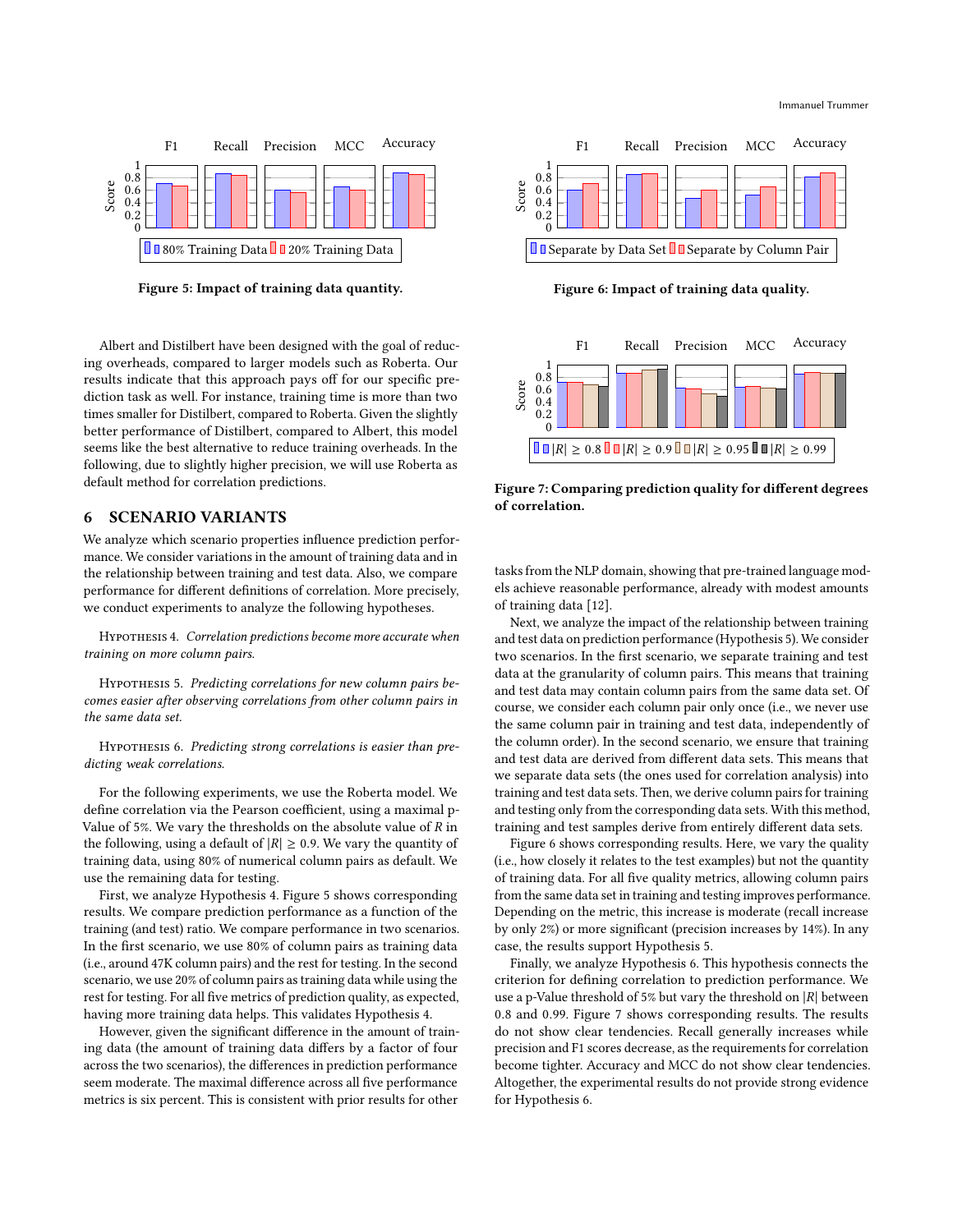<span id="page-5-2"></span>

Figure 5: Impact of training data quantity.

Albert and Distilbert have been designed with the goal of reducing overheads, compared to larger models such as Roberta. Our results indicate that this approach pays off for our specific prediction task as well. For instance, training time is more than two times smaller for Distilbert, compared to Roberta. Given the slightly better performance of Distilbert, compared to Albert, this model seems like the best alternative to reduce training overheads. In the following, due to slightly higher precision, we will use Roberta as default method for correlation predictions.

#### <span id="page-5-0"></span>6 SCENARIO VARIANTS

We analyze which scenario properties influence prediction performance. We consider variations in the amount of training data and in the relationship between training and test data. Also, we compare performance for different definitions of correlation. More precisely, we conduct experiments to analyze the following hypotheses.

<span id="page-5-1"></span>Hypothesis 4. Correlation predictions become more accurate when training on more column pairs.

<span id="page-5-3"></span>HYPOTHESIS 5. Predicting correlations for new column pairs becomes easier after observing correlations from other column pairs in the same data set.

<span id="page-5-5"></span>HYPOTHESIS 6. Predicting strong correlations is easier than predicting weak correlations.

For the following experiments, we use the Roberta model. We define correlation via the Pearson coefficient, using a maximal p-Value of 5%. We vary the thresholds on the absolute value of  $R$  in the following, using a default of  $|R| \geq 0.9$ . We vary the quantity of training data, using 80% of numerical column pairs as default. We use the remaining data for testing.

First, we analyze Hypothesis [4.](#page-5-1) Figure [5](#page-5-2) shows corresponding results. We compare prediction performance as a function of the training (and test) ratio. We compare performance in two scenarios. In the first scenario, we use 80% of column pairs as training data (i.e., around 47K column pairs) and the rest for testing. In the second scenario, we use 20% of column pairs as training data while using the rest for testing. For all five metrics of prediction quality, as expected, having more training data helps. This validates Hypothesis [4.](#page-5-1)

However, given the significant difference in the amount of training data (the amount of training data differs by a factor of four across the two scenarios), the differences in prediction performance seem moderate. The maximal difference across all five performance metrics is six percent. This is consistent with prior results for other

<span id="page-5-4"></span>

Figure 6: Impact of training data quality.

<span id="page-5-6"></span>

Figure 7: Comparing prediction quality for different degrees of correlation.

tasks from the NLP domain, showing that pre-trained language models achieve reasonable performance, already with modest amounts of training data [\[12\]](#page-11-3).

Next, we analyze the impact of the relationship between training and test data on prediction performance (Hypothesis [5\)](#page-5-3). We consider two scenarios. In the first scenario, we separate training and test data at the granularity of column pairs. This means that training and test data may contain column pairs from the same data set. Of course, we consider each column pair only once (i.e., we never use the same column pair in training and test data, independently of the column order). In the second scenario, we ensure that training and test data are derived from different data sets. This means that we separate data sets (the ones used for correlation analysis) into training and test data sets. Then, we derive column pairs for training and testing only from the corresponding data sets. With this method, training and test samples derive from entirely different data sets.

Figure [6](#page-5-4) shows corresponding results. Here, we vary the quality (i.e., how closely it relates to the test examples) but not the quantity of training data. For all five quality metrics, allowing column pairs from the same data set in training and testing improves performance. Depending on the metric, this increase is moderate (recall increase by only 2%) or more significant (precision increases by 14%). In any case, the results support Hypothesis [5.](#page-5-3)

Finally, we analyze Hypothesis [6.](#page-5-5) This hypothesis connects the criterion for defining correlation to prediction performance. We use a p-Value threshold of 5% but vary the threshold on  $|R|$  between 0.8 and 0.99. Figure [7](#page-5-6) shows corresponding results. The results do not show clear tendencies. Recall generally increases while precision and F1 scores decrease, as the requirements for correlation become tighter. Accuracy and MCC do not show clear tendencies. Altogether, the experimental results do not provide strong evidence for Hypothesis [6.](#page-5-5)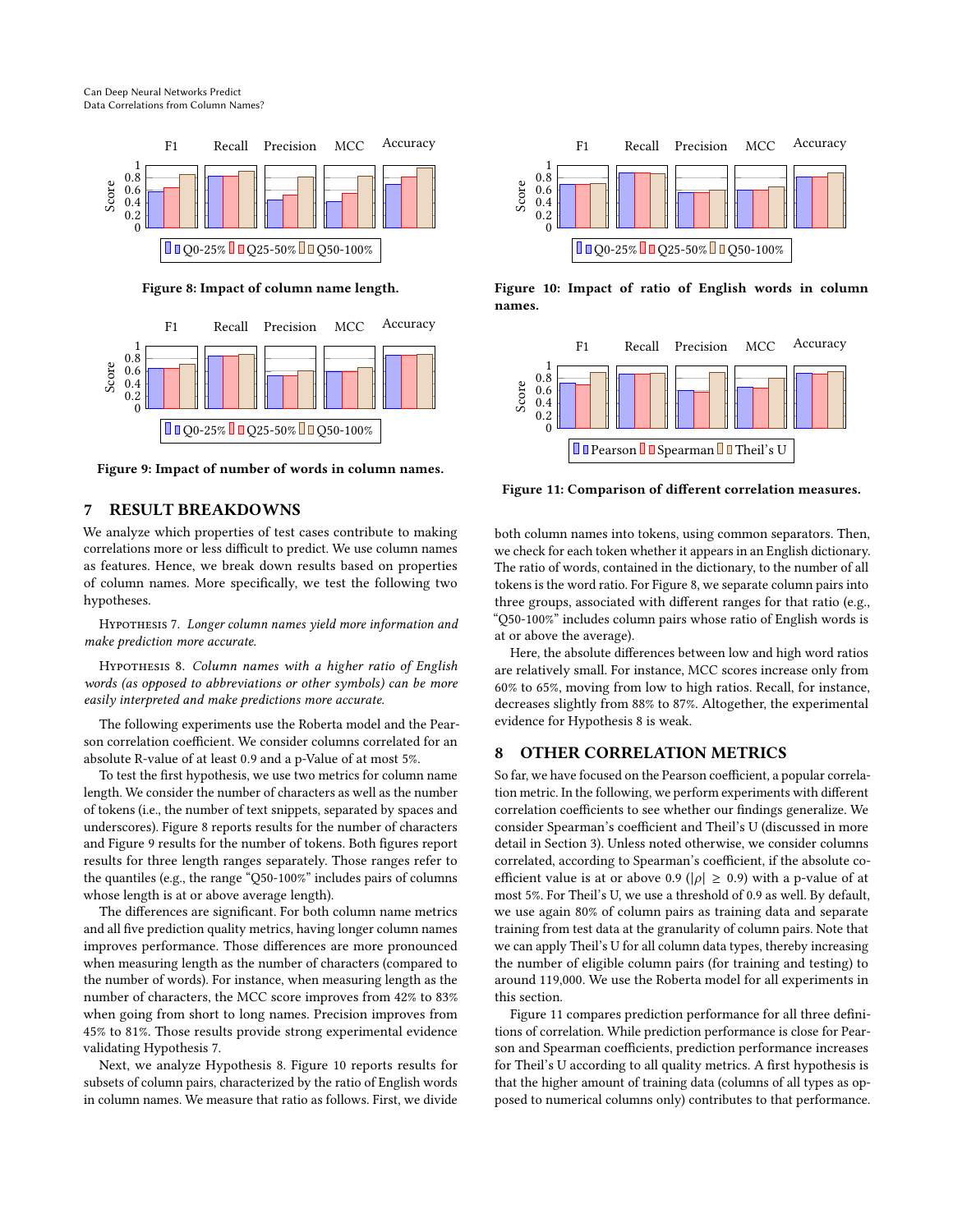Can Deep Neural Networks Predict Data Correlations from Column Names?

<span id="page-6-2"></span>

Figure 8: Impact of column name length.

<span id="page-6-3"></span>

Figure 9: Impact of number of words in column names.

# <span id="page-6-0"></span>7 RESULT BREAKDOWNS

We analyze which properties of test cases contribute to making correlations more or less difficult to predict. We use column names as features. Hence, we break down results based on properties of column names. More specifically, we test the following two hypotheses.

<span id="page-6-4"></span>Hypothesis 7. Longer column names yield more information and make prediction more accurate.

<span id="page-6-5"></span>Hypothesis 8. Column names with a higher ratio of English words (as opposed to abbreviations or other symbols) can be more easily interpreted and make predictions more accurate.

The following experiments use the Roberta model and the Pearson correlation coefficient. We consider columns correlated for an absolute R-value of at least 0.9 and a p-Value of at most 5%.

To test the first hypothesis, we use two metrics for column name length. We consider the number of characters as well as the number of tokens (i.e., the number of text snippets, separated by spaces and underscores). Figure [8](#page-6-2) reports results for the number of characters and Figure [9](#page-6-3) results for the number of tokens. Both figures report results for three length ranges separately. Those ranges refer to the quantiles (e.g., the range "Q50-100%" includes pairs of columns whose length is at or above average length).

The differences are significant. For both column name metrics and all five prediction quality metrics, having longer column names improves performance. Those differences are more pronounced when measuring length as the number of characters (compared to the number of words). For instance, when measuring length as the number of characters, the MCC score improves from 42% to 83% when going from short to long names. Precision improves from 45% to 81%. Those results provide strong experimental evidence validating Hypothesis [7.](#page-6-4)

Next, we analyze Hypothesis [8.](#page-6-5) Figure [10](#page-6-6) reports results for subsets of column pairs, characterized by the ratio of English words in column names. We measure that ratio as follows. First, we divide

<span id="page-6-6"></span>

Figure 10: Impact of ratio of English words in column names.

<span id="page-6-7"></span>

Figure 11: Comparison of different correlation measures.

both column names into tokens, using common separators. Then, we check for each token whether it appears in an English dictionary. The ratio of words, contained in the dictionary, to the number of all tokens is the word ratio. For Figure [8,](#page-6-5) we separate column pairs into three groups, associated with different ranges for that ratio (e.g., "Q50-100%" includes column pairs whose ratio of English words is at or above the average).

Here, the absolute differences between low and high word ratios are relatively small. For instance, MCC scores increase only from 60% to 65%, moving from low to high ratios. Recall, for instance, decreases slightly from 88% to 87%. Altogether, the experimental evidence for Hypothesis [8](#page-6-5) is weak.

# <span id="page-6-1"></span>8 OTHER CORRELATION METRICS

So far, we have focused on the Pearson coefficient, a popular correlation metric. In the following, we perform experiments with different correlation coefficients to see whether our findings generalize. We consider Spearman's coefficient and Theil's U (discussed in more detail in Section [3\)](#page-2-0). Unless noted otherwise, we consider columns correlated, according to Spearman's coefficient, if the absolute coefficient value is at or above 0.9 ( $|\rho| \ge 0.9$ ) with a p-value of at most 5%. For Theil's U, we use a threshold of 0.9 as well. By default, we use again 80% of column pairs as training data and separate training from test data at the granularity of column pairs. Note that we can apply Theil's U for all column data types, thereby increasing the number of eligible column pairs (for training and testing) to around 119,000. We use the Roberta model for all experiments in this section.

Figure [11](#page-6-7) compares prediction performance for all three definitions of correlation. While prediction performance is close for Pearson and Spearman coefficients, prediction performance increases for Theil's U according to all quality metrics. A first hypothesis is that the higher amount of training data (columns of all types as opposed to numerical columns only) contributes to that performance.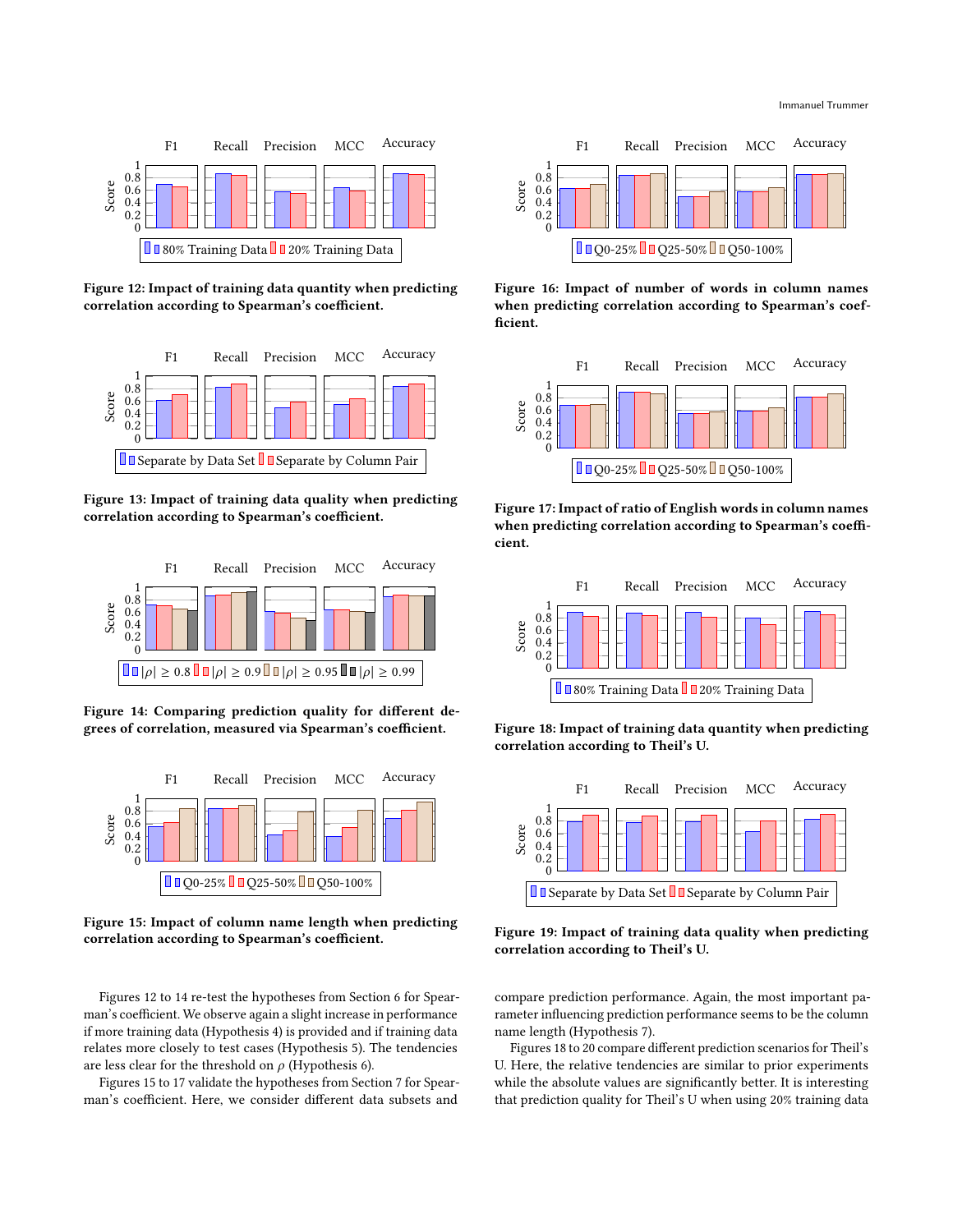<span id="page-7-0"></span>

Figure 12: Impact of training data quantity when predicting correlation according to Spearman's coefficient.



Figure 13: Impact of training data quality when predicting correlation according to Spearman's coefficient.

<span id="page-7-1"></span>

Figure 14: Comparing prediction quality for different degrees of correlation, measured via Spearman's coefficient.

<span id="page-7-2"></span>

Figure 15: Impact of column name length when predicting correlation according to Spearman's coefficient.

Figures [12](#page-7-0) to [14](#page-7-1) re-test the hypotheses from Section [6](#page-5-0) for Spearman's coefficient. We observe again a slight increase in performance if more training data (Hypothesis [4\)](#page-5-1) is provided and if training data relates more closely to test cases (Hypothesis [5\)](#page-5-3). The tendencies are less clear for the threshold on  $\rho$  (Hypothesis [6\)](#page-5-5).

Figures [15](#page-7-2) to [17](#page-7-3) validate the hypotheses from Section [7](#page-6-0) for Spearman's coefficient. Here, we consider different data subsets and



Figure 16: Impact of number of words in column names when predicting correlation according to Spearman's coefficient.

<span id="page-7-3"></span>

Figure 17: Impact of ratio of English words in column names when predicting correlation according to Spearman's coefficient.

<span id="page-7-4"></span>

Figure 18: Impact of training data quantity when predicting correlation according to Theil's U.



Figure 19: Impact of training data quality when predicting correlation according to Theil's U.

compare prediction performance. Again, the most important parameter influencing prediction performance seems to be the column name length (Hypothesis [7\)](#page-6-4).

Figures [18](#page-7-4) to [20](#page-8-1) compare different prediction scenarios for Theil's U. Here, the relative tendencies are similar to prior experiments while the absolute values are significantly better. It is interesting that prediction quality for Theil's U when using 20% training data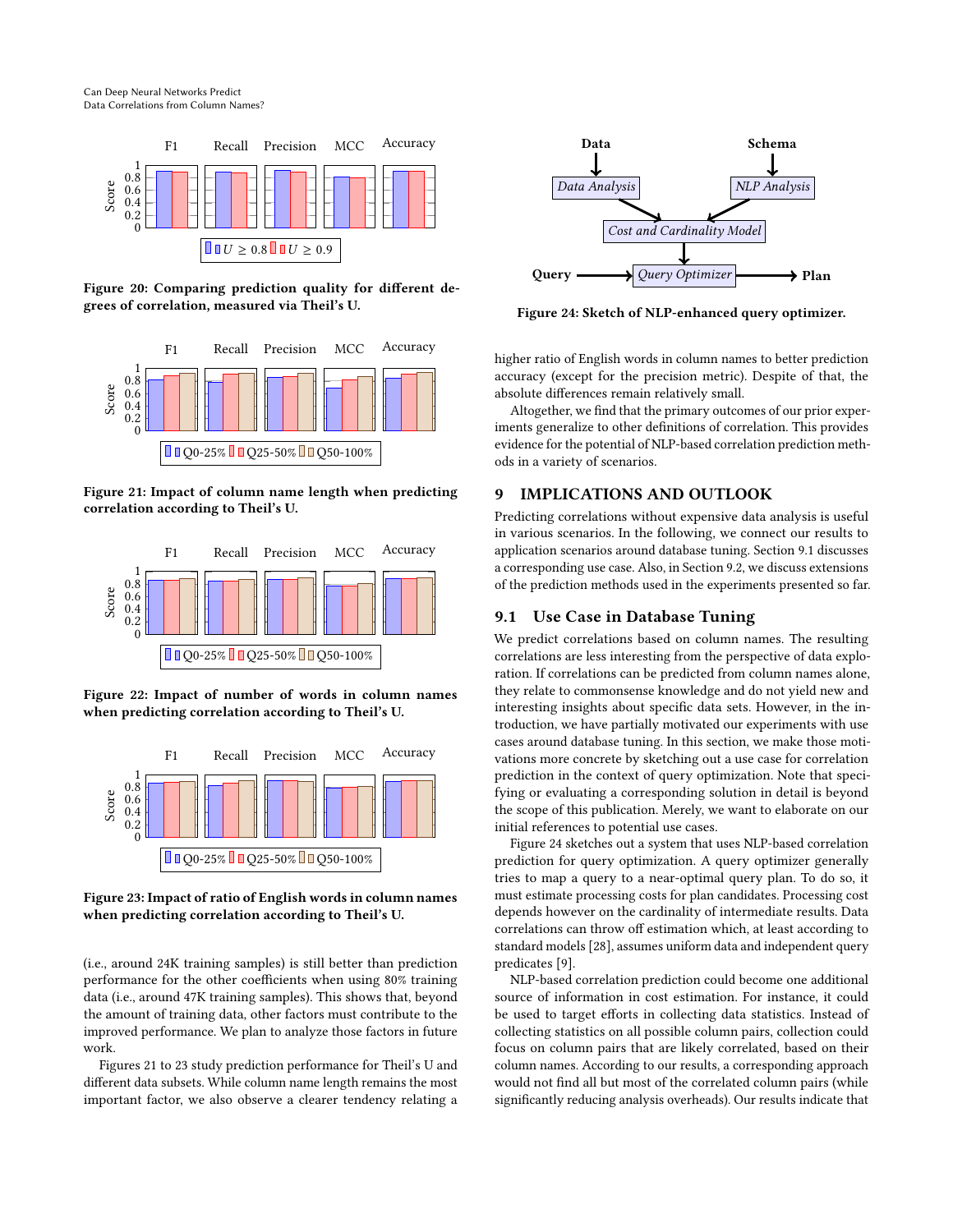Can Deep Neural Networks Predict Data Correlations from Column Names?

<span id="page-8-1"></span>

Figure 20: Comparing prediction quality for different degrees of correlation, measured via Theil's U.

<span id="page-8-2"></span>

Figure 21: Impact of column name length when predicting correlation according to Theil's U.



Figure 22: Impact of number of words in column names when predicting correlation according to Theil's U.

<span id="page-8-3"></span>

Figure 23: Impact of ratio of English words in column names when predicting correlation according to Theil's U.

(i.e., around 24K training samples) is still better than prediction performance for the other coefficients when using 80% training data (i.e., around 47K training samples). This shows that, beyond the amount of training data, other factors must contribute to the improved performance. We plan to analyze those factors in future work.

Figures [21](#page-8-2) to [23](#page-8-3) study prediction performance for Theil's U and different data subsets. While column name length remains the most important factor, we also observe a clearer tendency relating a

<span id="page-8-5"></span>

Figure 24: Sketch of NLP-enhanced query optimizer.

higher ratio of English words in column names to better prediction accuracy (except for the precision metric). Despite of that, the absolute differences remain relatively small.

Altogether, we find that the primary outcomes of our prior experiments generalize to other definitions of correlation. This provides evidence for the potential of NLP-based correlation prediction methods in a variety of scenarios.

#### 9 IMPLICATIONS AND OUTLOOK

Predicting correlations without expensive data analysis is useful in various scenarios. In the following, we connect our results to application scenarios around database tuning. Section [9.1](#page-8-4) discusses a corresponding use case. Also, in Section [9.2,](#page-9-0) we discuss extensions of the prediction methods used in the experiments presented so far.

#### <span id="page-8-4"></span>9.1 Use Case in Database Tuning

We predict correlations based on column names. The resulting correlations are less interesting from the perspective of data exploration. If correlations can be predicted from column names alone, they relate to commonsense knowledge and do not yield new and interesting insights about specific data sets. However, in the introduction, we have partially motivated our experiments with use cases around database tuning. In this section, we make those motivations more concrete by sketching out a use case for correlation prediction in the context of query optimization. Note that specifying or evaluating a corresponding solution in detail is beyond the scope of this publication. Merely, we want to elaborate on our initial references to potential use cases.

<span id="page-8-0"></span>Figure [24](#page-8-5) sketches out a system that uses NLP-based correlation prediction for query optimization. A query optimizer generally tries to map a query to a near-optimal query plan. To do so, it must estimate processing costs for plan candidates. Processing cost depends however on the cardinality of intermediate results. Data correlations can throw off estimation which, at least according to standard models [\[28\]](#page-12-1), assumes uniform data and independent query predicates [\[9\]](#page-11-2).

NLP-based correlation prediction could become one additional source of information in cost estimation. For instance, it could be used to target efforts in collecting data statistics. Instead of collecting statistics on all possible column pairs, collection could focus on column pairs that are likely correlated, based on their column names. According to our results, a corresponding approach would not find all but most of the correlated column pairs (while significantly reducing analysis overheads). Our results indicate that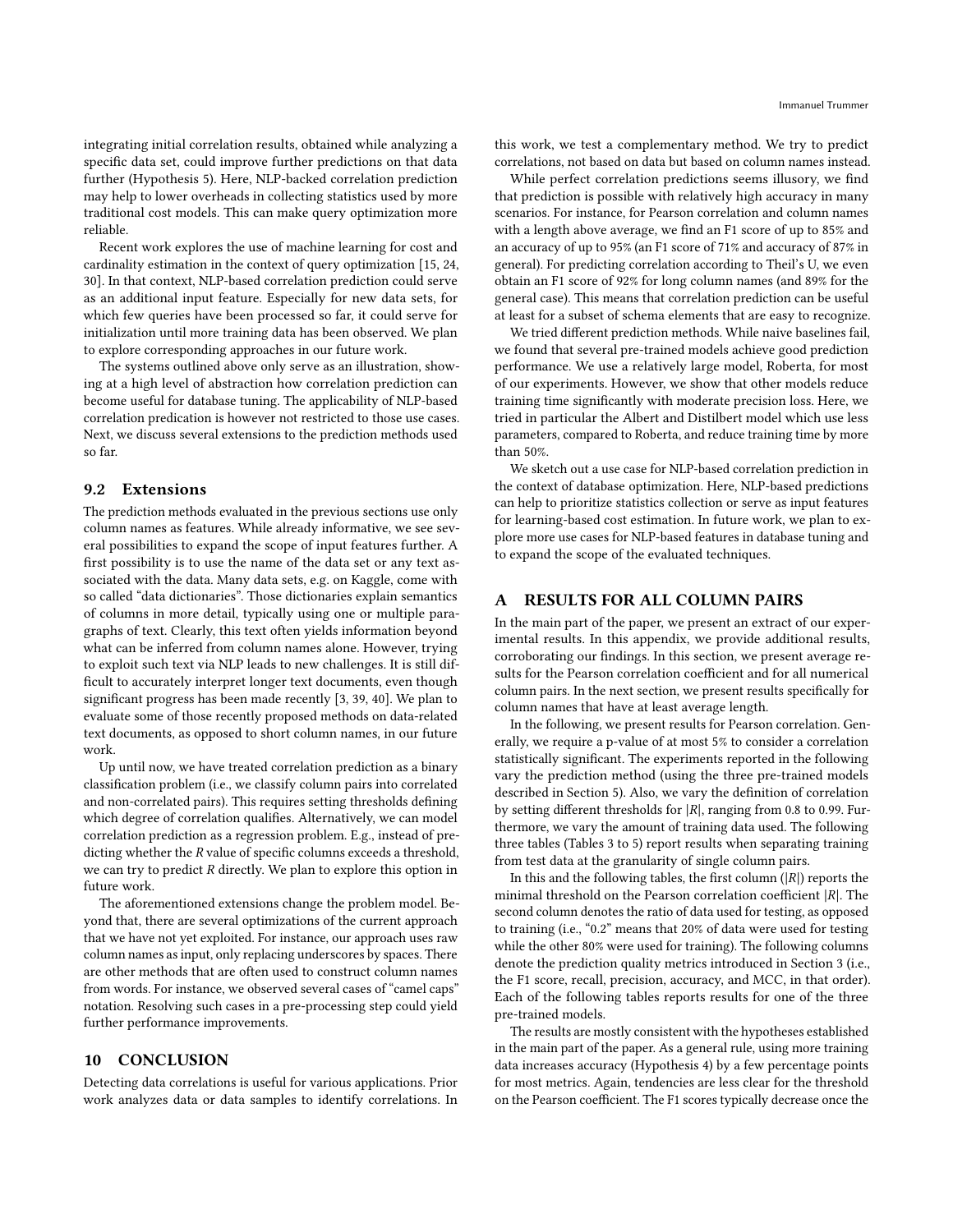integrating initial correlation results, obtained while analyzing a specific data set, could improve further predictions on that data further (Hypothesis [5\)](#page-5-3). Here, NLP-backed correlation prediction may help to lower overheads in collecting statistics used by more traditional cost models. This can make query optimization more reliable.

Recent work explores the use of machine learning for cost and cardinality estimation in the context of query optimization [\[15,](#page-12-24) [24,](#page-12-10) [30\]](#page-12-25). In that context, NLP-based correlation prediction could serve as an additional input feature. Especially for new data sets, for which few queries have been processed so far, it could serve for initialization until more training data has been observed. We plan to explore corresponding approaches in our future work.

The systems outlined above only serve as an illustration, showing at a high level of abstraction how correlation prediction can become useful for database tuning. The applicability of NLP-based correlation predication is however not restricted to those use cases. Next, we discuss several extensions to the prediction methods used so far.

#### <span id="page-9-0"></span>9.2 Extensions

The prediction methods evaluated in the previous sections use only column names as features. While already informative, we see several possibilities to expand the scope of input features further. A first possibility is to use the name of the data set or any text associated with the data. Many data sets, e.g. on Kaggle, come with so called "data dictionaries". Those dictionaries explain semantics of columns in more detail, typically using one or multiple paragraphs of text. Clearly, this text often yields information beyond what can be inferred from column names alone. However, trying to exploit such text via NLP leads to new challenges. It is still difficult to accurately interpret longer text documents, even though significant progress has been made recently [\[3,](#page-11-12) [39,](#page-12-26) [40\]](#page-12-27). We plan to evaluate some of those recently proposed methods on data-related text documents, as opposed to short column names, in our future work.

Up until now, we have treated correlation prediction as a binary classification problem (i.e., we classify column pairs into correlated and non-correlated pairs). This requires setting thresholds defining which degree of correlation qualifies. Alternatively, we can model correlation prediction as a regression problem. E.g., instead of predicting whether the  $R$  value of specific columns exceeds a threshold, we can try to predict  $R$  directly. We plan to explore this option in future work.

The aforementioned extensions change the problem model. Beyond that, there are several optimizations of the current approach that we have not yet exploited. For instance, our approach uses raw column names as input, only replacing underscores by spaces. There are other methods that are often used to construct column names from words. For instance, we observed several cases of "camel caps" notation. Resolving such cases in a pre-processing step could yield further performance improvements.

# 10 CONCLUSION

Detecting data correlations is useful for various applications. Prior work analyzes data or data samples to identify correlations. In this work, we test a complementary method. We try to predict correlations, not based on data but based on column names instead.

While perfect correlation predictions seems illusory, we find that prediction is possible with relatively high accuracy in many scenarios. For instance, for Pearson correlation and column names with a length above average, we find an F1 score of up to 85% and an accuracy of up to 95% (an F1 score of 71% and accuracy of 87% in general). For predicting correlation according to Theil's U, we even obtain an F1 score of 92% for long column names (and 89% for the general case). This means that correlation prediction can be useful at least for a subset of schema elements that are easy to recognize.

We tried different prediction methods. While naive baselines fail, we found that several pre-trained models achieve good prediction performance. We use a relatively large model, Roberta, for most of our experiments. However, we show that other models reduce training time significantly with moderate precision loss. Here, we tried in particular the Albert and Distilbert model which use less parameters, compared to Roberta, and reduce training time by more than 50%.

We sketch out a use case for NLP-based correlation prediction in the context of database optimization. Here, NLP-based predictions can help to prioritize statistics collection or serve as input features for learning-based cost estimation. In future work, we plan to explore more use cases for NLP-based features in database tuning and to expand the scope of the evaluated techniques.

#### A RESULTS FOR ALL COLUMN PAIRS

In the main part of the paper, we present an extract of our experimental results. In this appendix, we provide additional results, corroborating our findings. In this section, we present average results for the Pearson correlation coefficient and for all numerical column pairs. In the next section, we present results specifically for column names that have at least average length.

In the following, we present results for Pearson correlation. Generally, we require a p-value of at most 5% to consider a correlation statistically significant. The experiments reported in the following vary the prediction method (using the three pre-trained models described in Section [5\)](#page-4-0). Also, we vary the definition of correlation by setting different thresholds for  $|R|$ , ranging from 0.8 to 0.99. Furthermore, we vary the amount of training data used. The following three tables (Tables [3](#page-10-0) to [5\)](#page-10-1) report results when separating training from test data at the granularity of single column pairs.

In this and the following tables, the first column  $(|R|)$  reports the minimal threshold on the Pearson correlation coefficient  $|R|$ . The second column denotes the ratio of data used for testing, as opposed to training (i.e., "0.2" means that 20% of data were used for testing while the other 80% were used for training). The following columns denote the prediction quality metrics introduced in Section [3](#page-2-0) (i.e., the F1 score, recall, precision, accuracy, and MCC, in that order). Each of the following tables reports results for one of the three pre-trained models.

The results are mostly consistent with the hypotheses established in the main part of the paper. As a general rule, using more training data increases accuracy (Hypothesis [4\)](#page-5-1) by a few percentage points for most metrics. Again, tendencies are less clear for the threshold on the Pearson coefficient. The F1 scores typically decrease once the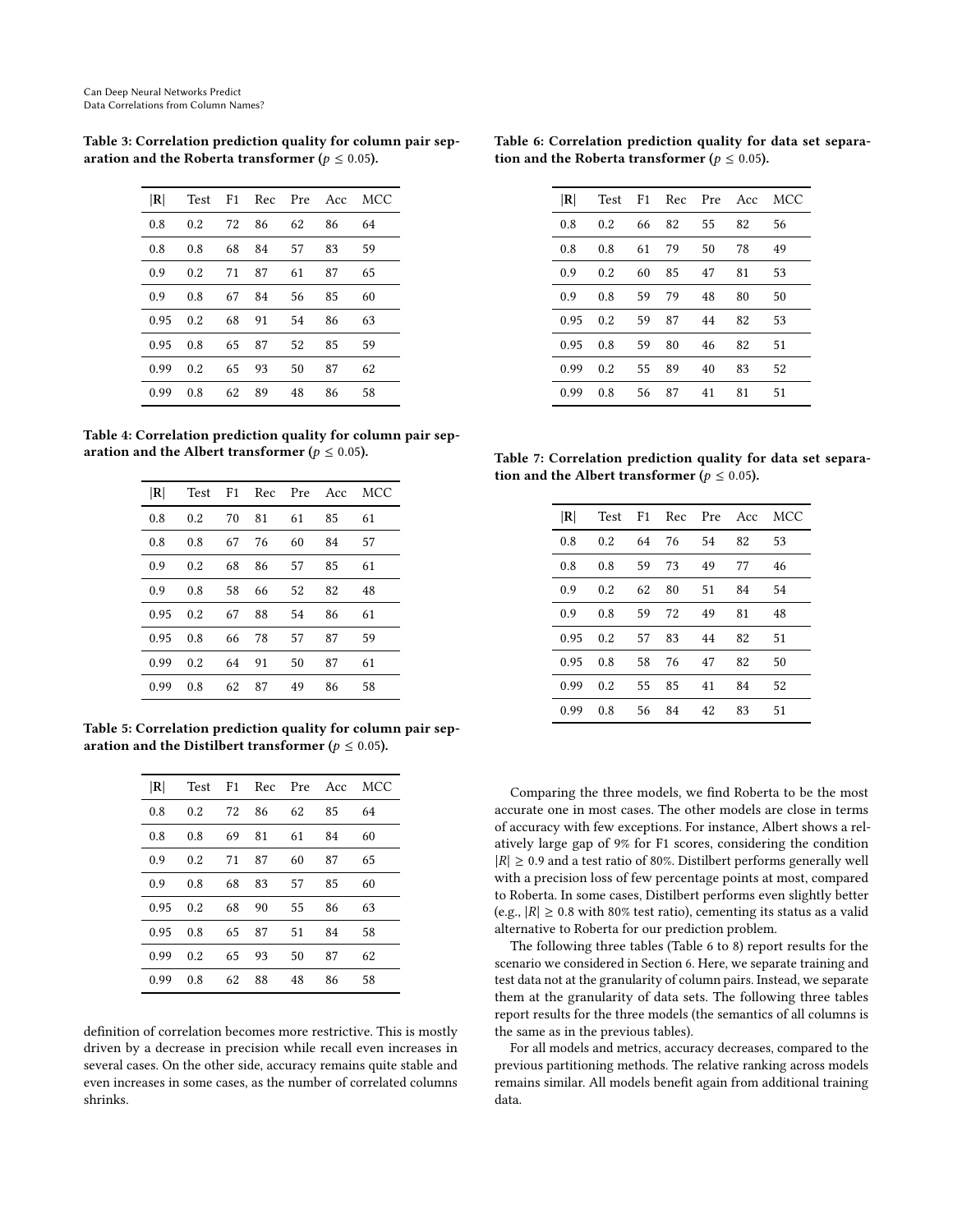| $ \mathbf{R} $ | Test | F <sub>1</sub> | Rec | Pre | Acc | MCC |
|----------------|------|----------------|-----|-----|-----|-----|
| 0.8            | 0.2  | 72             | 86  | 62  | 86  | 64  |
| 0.8            | 0.8  | 68             | 84  | 57  | 83  | 59  |
| 0.9            | 0.2  | 71             | 87  | 61  | 87  | 65  |
| 0.9            | 0.8  | 67             | 84  | 56  | 85  | 60  |
| 0.95           | 0.2  | 68             | 91  | 54  | 86  | 63  |
| 0.95           | 0.8  | 65             | 87  | 52  | 85  | 59  |
| 0.99           | 0.2  | 65             | 93  | 50  | 87  | 62  |
| 0.99           | 0.8  | 62             | 89  | 48  | 86  | 58  |

<span id="page-10-0"></span>Table 3: Correlation prediction quality for column pair separation and the Roberta transformer ( $p \leq 0.05$ ).

Table 4: Correlation prediction quality for column pair separation and the Albert transformer ( $p \le 0.05$ ).

| R    |     |    |    |    |    | Test F1 Rec Pre Acc MCC |
|------|-----|----|----|----|----|-------------------------|
| 0.8  | 0.2 | 70 | 81 | 61 | 85 | 61                      |
| 0.8  | 0.8 | 67 | 76 | 60 | 84 | 57                      |
| 0.9  | 0.2 | 68 | 86 | 57 | 85 | 61                      |
| 0.9  | 0.8 | 58 | 66 | 52 | 82 | 48                      |
| 0.95 | 0.2 | 67 | 88 | 54 | 86 | 61                      |
| 0.95 | 0.8 | 66 | 78 | 57 | 87 | 59                      |
| 0.99 | 0.2 | 64 | 91 | 50 | 87 | 61                      |
| 0.99 | 0.8 | 62 | 87 | 49 | 86 | 58                      |

<span id="page-10-1"></span>Table 5: Correlation prediction quality for column pair separation and the Distilbert transformer ( $p \le 0.05$ ).

| R    | Test |    | F1 Rec Pre Acc |    |    | MCC |
|------|------|----|----------------|----|----|-----|
| 0.8  | 0.2  | 72 | 86             | 62 | 85 | 64  |
| 0.8  | 0.8  | 69 | 81             | 61 | 84 | 60  |
| 0.9  | 0.2  | 71 | 87             | 60 | 87 | 65  |
| 0.9  | 0.8  | 68 | 83             | 57 | 85 | 60  |
| 0.95 | 0.2  | 68 | 90             | 55 | 86 | 63  |
| 0.95 | 0.8  | 65 | 87             | 51 | 84 | 58  |
| 0.99 | 0.2  | 65 | 93             | 50 | 87 | 62  |
| 0.99 | 0.8  | 62 | 88             | 48 | 86 | 58  |

definition of correlation becomes more restrictive. This is mostly driven by a decrease in precision while recall even increases in several cases. On the other side, accuracy remains quite stable and even increases in some cases, as the number of correlated columns shrinks.

<span id="page-10-2"></span>

| Table 6: Correlation prediction quality for data set separa- |  |  |  |
|--------------------------------------------------------------|--|--|--|
| tion and the Roberta transformer ( $p \leq 0.05$ ).          |  |  |  |

| R    | Test | F1 | Rec | Pre | Acc | <b>MCC</b> |
|------|------|----|-----|-----|-----|------------|
| 0.8  | 0.2  | 66 | 82  | 55  | 82  | 56         |
| 0.8  | 0.8  | 61 | 79  | 50  | 78  | 49         |
| 0.9  | 0.2  | 60 | 85  | 47  | 81  | 53         |
| 0.9  | 0.8  | 59 | 79  | 48  | 80  | 50         |
| 0.95 | 0.2  | 59 | 87  | 44  | 82  | 53         |
| 0.95 | 0.8  | 59 | 80  | 46  | 82  | 51         |
| 0.99 | 0.2  | 55 | 89  | 40  | 83  | 52         |
| 0.99 | 0.8  | 56 | 87  | 41  | 81  | 51         |
|      |      |    |     |     |     |            |

Table 7: Correlation prediction quality for data set separation and the Albert transformer ( $p \leq 0.05$ ).

| R <br>Test F1 Rec Pre Acc MCC<br>53<br>0.8<br>64<br>54<br>82<br>0.2<br>76<br>49<br>59<br>73<br>46<br>0.8<br>77<br>0.8<br>0.9<br>62<br>51<br>84<br>54<br>80<br>0.2<br>0.9<br>59<br>72<br>49<br>81<br>48<br>0.8<br>0.95<br>57<br>83<br>44<br>51<br>0.2<br>82<br>0.95<br>58<br>76<br>47<br>82<br>50<br>0.8<br>0.99<br>55<br>41<br>52<br>0.2<br>85<br>84<br>56 84<br>0.99<br>42<br>83<br>51<br>0.8 |  |  |  |  |
|------------------------------------------------------------------------------------------------------------------------------------------------------------------------------------------------------------------------------------------------------------------------------------------------------------------------------------------------------------------------------------------------|--|--|--|--|
|                                                                                                                                                                                                                                                                                                                                                                                                |  |  |  |  |
|                                                                                                                                                                                                                                                                                                                                                                                                |  |  |  |  |
|                                                                                                                                                                                                                                                                                                                                                                                                |  |  |  |  |
|                                                                                                                                                                                                                                                                                                                                                                                                |  |  |  |  |
|                                                                                                                                                                                                                                                                                                                                                                                                |  |  |  |  |
|                                                                                                                                                                                                                                                                                                                                                                                                |  |  |  |  |
|                                                                                                                                                                                                                                                                                                                                                                                                |  |  |  |  |
|                                                                                                                                                                                                                                                                                                                                                                                                |  |  |  |  |
|                                                                                                                                                                                                                                                                                                                                                                                                |  |  |  |  |

Comparing the three models, we find Roberta to be the most accurate one in most cases. The other models are close in terms of accuracy with few exceptions. For instance, Albert shows a relatively large gap of 9% for F1 scores, considering the condition  $|R| \geq 0.9$  and a test ratio of 80%. Distilbert performs generally well with a precision loss of few percentage points at most, compared to Roberta. In some cases, Distilbert performs even slightly better (e.g.,  $|R| \ge 0.8$  with 80% test ratio), cementing its status as a valid alternative to Roberta for our prediction problem.

The following three tables (Table [6](#page-10-2) to [8\)](#page-11-13) report results for the scenario we considered in Section [6.](#page-5-0) Here, we separate training and test data not at the granularity of column pairs. Instead, we separate them at the granularity of data sets. The following three tables report results for the three models (the semantics of all columns is the same as in the previous tables).

For all models and metrics, accuracy decreases, compared to the previous partitioning methods. The relative ranking across models remains similar. All models benefit again from additional training data.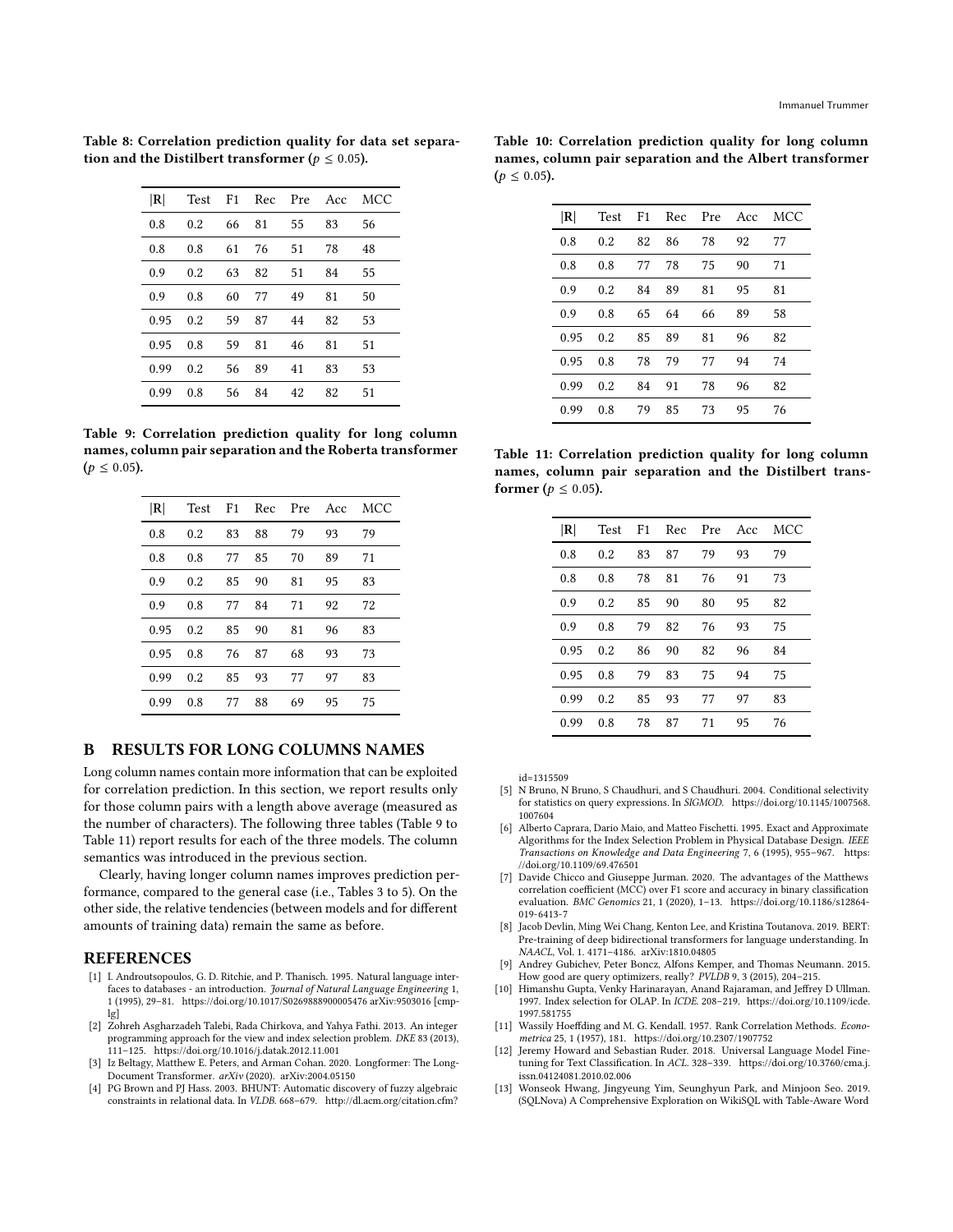| R    |     |    | Test F1 Rec Pre Acc |    |    | MCC |
|------|-----|----|---------------------|----|----|-----|
| 0.8  | 0.2 | 66 | 81                  | 55 | 83 | 56  |
| 0.8  | 0.8 | 61 | 76                  | 51 | 78 | 48  |
| 0.9  | 0.2 | 63 | 82                  | 51 | 84 | 55  |
| 0.9  | 0.8 | 60 | 77                  | 49 | 81 | 50  |
| 0.95 | 0.2 | 59 | 87                  | 44 | 82 | 53  |
| 0.95 | 0.8 | 59 | 81                  | 46 | 81 | 51  |
| 0.99 | 0.2 | 56 | 89                  | 41 | 83 | 53  |
| 0.99 | 0.8 | 56 | 84                  | 42 | 82 | 51  |

<span id="page-11-13"></span>Table 8: Correlation prediction quality for data set separation and the Distilbert transformer ( $p \le 0.05$ ).

<span id="page-11-14"></span>Table 9: Correlation prediction quality for long column names, column pair separation and the Roberta transformer  $(p \le 0.05)$ .

| R    | Test | F <sub>1</sub> | Rec |    | Pre Acc | MCC |
|------|------|----------------|-----|----|---------|-----|
| 0.8  | 0.2  | 83             | 88  | 79 | 93      | 79  |
| 0.8  | 0.8  | 77             | 85  | 70 | 89      | 71  |
| 0.9  | 0.2  | 85             | 90  | 81 | 95      | 83  |
| 0.9  | 0.8  | 77             | 84  | 71 | 92      | 72  |
| 0.95 | 0.2  | 85             | 90  | 81 | 96      | 83  |
| 0.95 | 0.8  | 76             | 87  | 68 | 93      | 73  |
| 0.99 | 0.2  | 85             | 93  | 77 | 97      | 83  |
| 0.99 | 0.8  | 77             | 88  | 69 | 95      | 75  |

#### B RESULTS FOR LONG COLUMNS NAMES

Long column names contain more information that can be exploited for correlation prediction. In this section, we report results only for those column pairs with a length above average (measured as the number of characters). The following three tables (Table [9](#page-11-14) to Table [11\)](#page-11-15) report results for each of the three models. The column semantics was introduced in the previous section.

Clearly, having longer column names improves prediction performance, compared to the general case (i.e., Tables [3](#page-10-0) to [5\)](#page-10-1). On the other side, the relative tendencies (between models and for different amounts of training data) remain the same as before.

#### REFERENCES

- <span id="page-11-8"></span>[1] I. Androutsopoulos, G. D. Ritchie, and P. Thanisch. 1995. Natural language interfaces to databases - an introduction. Journal of Natural Language Engineering 1, 1 (1995), 29–81.<https://doi.org/10.1017/S0269888900005476> arXiv[:9503016](https://arxiv.org/abs/9503016) [cmp- $\lg$ ]
- <span id="page-11-6"></span>[2] Zohreh Asgharzadeh Talebi, Rada Chirkova, and Yahya Fathi. 2013. An integer programming approach for the view and index selection problem. DKE 83 (2013), 111–125.<https://doi.org/10.1016/j.datak.2012.11.001>
- <span id="page-11-12"></span>[3] Iz Beltagy, Matthew E. Peters, and Arman Cohan. 2020. Longformer: The Long-Document Transformer. arXiv (2020). arXiv[:2004.05150](https://arxiv.org/abs/2004.05150)
- <span id="page-11-1"></span>[4] PG Brown and PJ Hass. 2003. BHUNT: Automatic discovery of fuzzy algebraic constraints in relational data. In VLDB. 668–679. [http://dl.acm.org/citation.cfm?](http://dl.acm.org/citation.cfm?id=1315509)

|                  |  | Table 10: Correlation prediction quality for long column |
|------------------|--|----------------------------------------------------------|
|                  |  | names, column pair separation and the Albert transformer |
| $(p \le 0.05)$ . |  |                                                          |

| R    |     |    |      |    |    | Test F1 Rec Pre Acc MCC |
|------|-----|----|------|----|----|-------------------------|
| 0.8  | 0.2 | 82 | 86   | 78 | 92 | 77                      |
| 0.8  | 0.8 | 77 | 78   | 75 | 90 | 71                      |
| 0.9  | 0.2 | 84 | - 89 | 81 | 95 | 81                      |
| 0.9  | 0.8 | 65 | 64   | 66 | 89 | 58                      |
| 0.95 | 0.2 | 85 | 89   | 81 | 96 | 82                      |
| 0.95 | 0.8 | 78 | 79   | 77 | 94 | 74                      |
| 0.99 | 0.2 | 84 | 91   | 78 | 96 | 82                      |
| 0.99 | 0.8 | 79 | 85   | 73 | 95 | 76                      |

<span id="page-11-15"></span>Table 11: Correlation prediction quality for long column names, column pair separation and the Distilbert transformer ( $p \leq 0.05$ ).

| R    |     |    | Test F1 Rec Pre Acc |    |    | MCC |
|------|-----|----|---------------------|----|----|-----|
| 0.8  | 0.2 | 83 | 87                  | 79 | 93 | 79  |
| 0.8  | 0.8 | 78 | 81                  | 76 | 91 | 73  |
| 0.9  | 0.2 | 85 | 90                  | 80 | 95 | 82  |
| 0.9  | 0.8 | 79 | 82                  | 76 | 93 | 75  |
| 0.95 | 0.2 | 86 | 90                  | 82 | 96 | 84  |
| 0.95 | 0.8 | 79 | 83                  | 75 | 94 | 75  |
| 0.99 | 0.2 | 85 | 93                  | 77 | 97 | 83  |
| 0.99 | 0.8 | 78 | 87                  | 71 | 95 | 76  |

 $id = 1315509$ 

- <span id="page-11-7"></span>[5] N Bruno, N Bruno, S Chaudhuri, and S Chaudhuri. 2004. Conditional selectivity for statistics on query expressions. In SIGMOD. [https://doi.org/10.1145/1007568.](https://doi.org/10.1145/1007568.1007604) [1007604](https://doi.org/10.1145/1007568.1007604)
- <span id="page-11-4"></span>[6] Alberto Caprara, Dario Maio, and Matteo Fischetti. 1995. Exact and Approximate Algorithms for the Index Selection Problem in Physical Database Design. IEEE Transactions on Knowledge and Data Engineering 7, 6 (1995), 955–967. [https:](https://doi.org/10.1109/69.476501) [//doi.org/10.1109/69.476501](https://doi.org/10.1109/69.476501)
- <span id="page-11-11"></span>[7] Davide Chicco and Giuseppe Jurman. 2020. The advantages of the Matthews correlation coefficient (MCC) over F1 score and accuracy in binary classification evaluation. BMC Genomics 21, 1 (2020), 1–13. [https://doi.org/10.1186/s12864-](https://doi.org/10.1186/s12864-019-6413-7) [019-6413-7](https://doi.org/10.1186/s12864-019-6413-7)
- <span id="page-11-0"></span>[8] Jacob Devlin, Ming Wei Chang, Kenton Lee, and Kristina Toutanova. 2019. BERT: Pre-training of deep bidirectional transformers for language understanding. In NAACL, Vol. 1. 4171–4186. arXiv[:1810.04805](https://arxiv.org/abs/1810.04805)
- <span id="page-11-2"></span>[9] Andrey Gubichev, Peter Boncz, Alfons Kemper, and Thomas Neumann. 2015. How good are query optimizers, really? PVLDB 9, 3 (2015), 204–215.
- <span id="page-11-5"></span>[10] Himanshu Gupta, Venky Harinarayan, Anand Rajaraman, and Jeffrey D Ullman. 1997. Index selection for OLAP. In ICDE. 208–219. [https://doi.org/10.1109/icde.](https://doi.org/10.1109/icde.1997.581755) [1997.581755](https://doi.org/10.1109/icde.1997.581755)
- <span id="page-11-10"></span>[11] Wassily Hoeffding and M. G. Kendall. 1957. Rank Correlation Methods. Econometrica 25, 1 (1957), 181.<https://doi.org/10.2307/1907752>
- <span id="page-11-3"></span>[12] Jeremy Howard and Sebastian Ruder. 2018. Universal Language Model Finetuning for Text Classification. In ACL. 328–339. [https://doi.org/10.3760/cma.j.](https://doi.org/10.3760/cma.j.issn.04124081.2010.02.006) [issn.04124081.2010.02.006](https://doi.org/10.3760/cma.j.issn.04124081.2010.02.006)
- <span id="page-11-9"></span>[13] Wonseok Hwang, Jingyeung Yim, Seunghyun Park, and Minjoon Seo. 2019. (SQLNova) A Comprehensive Exploration on WikiSQL with Table-Aware Word